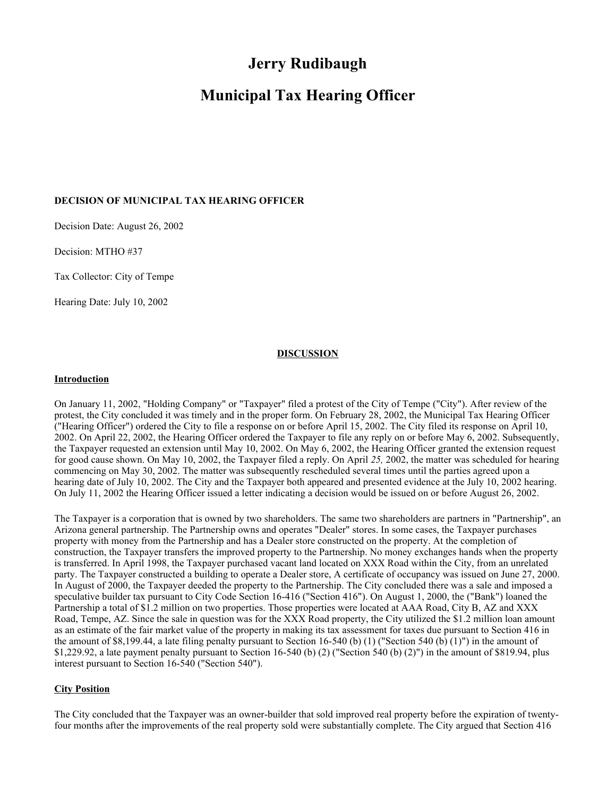# **Jerry Rudibaugh**

# **Municipal Tax Hearing Officer**

## **DECISION OF MUNICIPAL TAX HEARING OFFICER**

Decision Date: August 26, 2002

Decision: MTHO #37

Tax Collector: City of Tempe

Hearing Date: July 10, 2002

## **DISCUSSION**

#### **Introduction**

On January 11, 2002, "Holding Company" or "Taxpayer" filed a protest of the City of Tempe ("City"). After review of the protest, the City concluded it was timely and in the proper form. On February 28, 2002, the Municipal Tax Hearing Officer ("Hearing Officer") ordered the City to file a response on or before April 15, 2002. The City filed its response on April 10, 2002. On April 22, 2002, the Hearing Officer ordered the Taxpayer to file any reply on or before May 6, 2002. Subsequently, the Taxpayer requested an extension until May 10, 2002. On May 6, 2002, the Hearing Officer granted the extension request for good cause shown. On May 10, 2002, the Taxpayer filed a reply. On April *25,* 2002, the matter was scheduled for hearing commencing on May 30, 2002. The matter was subsequently rescheduled several times until the parties agreed upon a hearing date of July 10, 2002. The City and the Taxpayer both appeared and presented evidence at the July 10, 2002 hearing. On July 11, 2002 the Hearing Officer issued a letter indicating a decision would be issued on or before August 26, 2002.

The Taxpayer is a corporation that is owned by two shareholders. The same two shareholders are partners in "Partnership", an Arizona general partnership. The Partnership owns and operates "Dealer" stores. In some cases, the Taxpayer purchases property with money from the Partnership and has a Dealer store constructed on the property. At the completion of construction, the Taxpayer transfers the improved property to the Partnership. No money exchanges hands when the property is transferred. In April 1998, the Taxpayer purchased vacant land located on XXX Road within the City, from an unrelated party. The Taxpayer constructed a building to operate a Dealer store, A certificate of occupancy was issued on June 27, 2000. In August of 2000, the Taxpayer deeded the property to the Partnership. The City concluded there was a sale and imposed a speculative builder tax pursuant to City Code Section 16-416 ("Section 416"). On August 1, 2000, the ("Bank") loaned the Partnership a total of \$1.2 million on two properties. Those properties were located at AAA Road, City B, AZ and XXX Road, Tempe, AZ. Since the sale in question was for the XXX Road property, the City utilized the \$1.2 million loan amount as an estimate of the fair market value of the property in making its tax assessment for taxes due pursuant to Section 416 in the amount of \$8,199.44, a late filing penalty pursuant to Section 16-540 (b) (1) ("Section 540 (b) (1)") in the amount of \$1,229.92, a late payment penalty pursuant to Section 16-540 (b) (2) ("Section 540 (b) (2)") in the amount of \$819.94, plus interest pursuant to Section 16-540 ("Section 540").

#### **City Position**

The City concluded that the Taxpayer was an owner-builder that sold improved real property before the expiration of twentyfour months after the improvements of the real property sold were substantially complete. The City argued that Section 416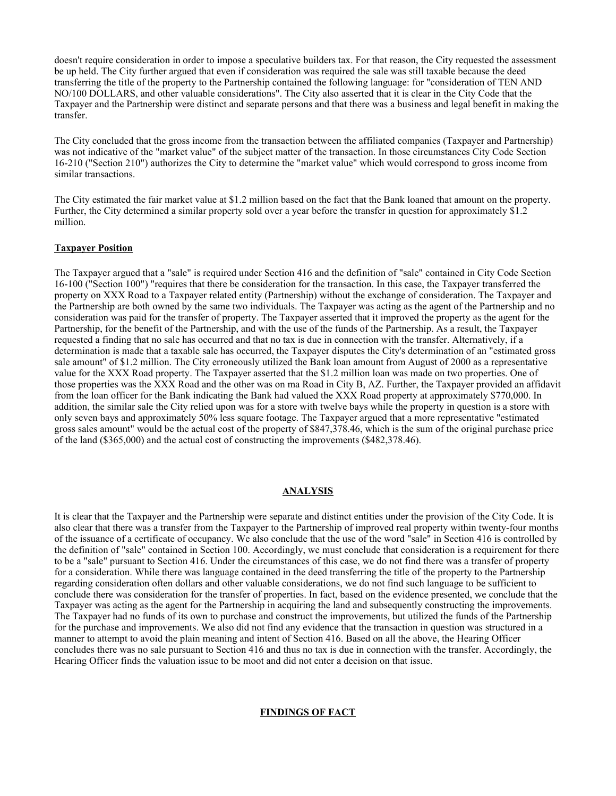doesn't require consideration in order to impose a speculative builders tax. For that reason, the City requested the assessment be up held. The City further argued that even if consideration was required the sale was still taxable because the deed transferring the title of the property to the Partnership contained the following language: for "consideration of TEN AND NO/100 DOLLARS, and other valuable considerations". The City also asserted that it is clear in the City Code that the Taxpayer and the Partnership were distinct and separate persons and that there was a business and legal benefit in making the transfer.

The City concluded that the gross income from the transaction between the affiliated companies (Taxpayer and Partnership) was not indicative of the "market value" of the subject matter of the transaction. In those circumstances City Code Section 16-210 ("Section 210") authorizes the City to determine the "market value" which would correspond to gross income from similar transactions.

The City estimated the fair market value at \$1.2 million based on the fact that the Bank loaned that amount on the property. Further, the City determined a similar property sold over a year before the transfer in question for approximately \$1.2 million.

## **Taxpayer Position**

The Taxpayer argued that a "sale" is required under Section 416 and the definition of "sale" contained in City Code Section 16-100 ("Section 100") "requires that there be consideration for the transaction. In this case, the Taxpayer transferred the property on XXX Road to a Taxpayer related entity (Partnership) without the exchange of consideration. The Taxpayer and the Partnership are both owned by the same two individuals. The Taxpayer was acting as the agent of the Partnership and no consideration was paid for the transfer of property. The Taxpayer asserted that it improved the property as the agent for the Partnership, for the benefit of the Partnership, and with the use of the funds of the Partnership. As a result, the Taxpayer requested a finding that no sale has occurred and that no tax is due in connection with the transfer. Alternatively, if a determination is made that a taxable sale has occurred, the Taxpayer disputes the City's determination of an "estimated gross sale amount" of \$1.2 million. The City erroneously utilized the Bank loan amount from August of 2000 as a representative value for the XXX Road property. The Taxpayer asserted that the \$1.2 million loan was made on two properties. One of those properties was the XXX Road and the other was on ma Road in City B, AZ. Further, the Taxpayer provided an affidavit from the loan officer for the Bank indicating the Bank had valued the XXX Road property at approximately \$770,000. In addition, the similar sale the City relied upon was for a store with twelve bays while the property in question is a store with only seven bays and approximately 50% less square footage. The Taxpayer argued that a more representative "estimated gross sales amount" would be the actual cost of the property of \$847,378.46, which is the sum of the original purchase price of the land (\$365,000) and the actual cost of constructing the improvements (\$482,378.46).

#### **ANALYSIS**

It is clear that the Taxpayer and the Partnership were separate and distinct entities under the provision of the City Code. It is also clear that there was a transfer from the Taxpayer to the Partnership of improved real property within twenty-four months of the issuance of a certificate of occupancy. We also conclude that the use of the word "sale" in Section 416 is controlled by the definition of "sale" contained in Section 100. Accordingly, we must conclude that consideration is a requirement for there to be a "sale" pursuant to Section 416. Under the circumstances of this case, we do not find there was a transfer of property for a consideration. While there was language contained in the deed transferring the title of the property to the Partnership regarding consideration often dollars and other valuable considerations, we do not find such language to be sufficient to conclude there was consideration for the transfer of properties. In fact, based on the evidence presented, we conclude that the Taxpayer was acting as the agent for the Partnership in acquiring the land and subsequently constructing the improvements. The Taxpayer had no funds of its own to purchase and construct the improvements, but utilized the funds of the Partnership for the purchase and improvements. We also did not find any evidence that the transaction in question was structured in a manner to attempt to avoid the plain meaning and intent of Section 416. Based on all the above, the Hearing Officer concludes there was no sale pursuant to Section 416 and thus no tax is due in connection with the transfer. Accordingly, the Hearing Officer finds the valuation issue to be moot and did not enter a decision on that issue.

## **FINDINGS OF FACT**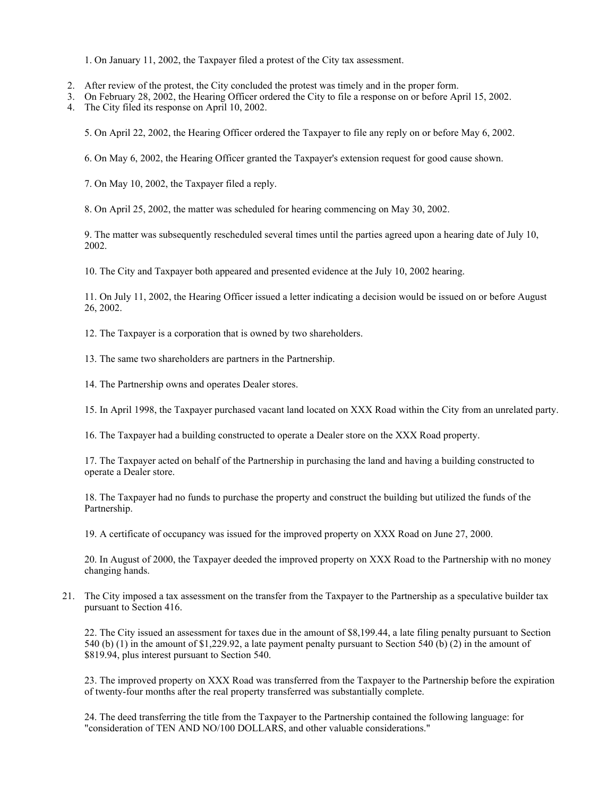1. On January 11, 2002, the Taxpayer filed a protest of the City tax assessment.

- 2. After review of the protest, the City concluded the protest was timely and in the proper form.
- 3. On February 28, 2002, the Hearing Officer ordered the City to file a response on or before April 15, 2002.
- 4. The City filed its response on April 10, 2002.

5. On April 22, 2002, the Hearing Officer ordered the Taxpayer to file any reply on or before May 6, 2002.

6. On May 6, 2002, the Hearing Officer granted the Taxpayer's extension request for good cause shown.

7. On May 10, 2002, the Taxpayer filed a reply.

8. On April 25, 2002, the matter was scheduled for hearing commencing on May 30, 2002.

9. The matter was subsequently rescheduled several times until the parties agreed upon a hearing date of July 10, 2002.

10. The City and Taxpayer both appeared and presented evidence at the July 10, 2002 hearing.

11. On July 11, 2002, the Hearing Officer issued a letter indicating a decision would be issued on or before August 26, 2002.

12. The Taxpayer is a corporation that is owned by two shareholders.

13. The same two shareholders are partners in the Partnership.

14. The Partnership owns and operates Dealer stores.

15. In April 1998, the Taxpayer purchased vacant land located on XXX Road within the City from an unrelated party.

16. The Taxpayer had a building constructed to operate a Dealer store on the XXX Road property.

17. The Taxpayer acted on behalf of the Partnership in purchasing the land and having a building constructed to operate a Dealer store.

18. The Taxpayer had no funds to purchase the property and construct the building but utilized the funds of the Partnership.

19. A certificate of occupancy was issued for the improved property on XXX Road on June 27, 2000.

20. In August of 2000, the Taxpayer deeded the improved property on XXX Road to the Partnership with no money changing hands.

21. The City imposed a tax assessment on the transfer from the Taxpayer to the Partnership as a speculative builder tax pursuant to Section 416.

22. The City issued an assessment for taxes due in the amount of \$8,199.44, a late filing penalty pursuant to Section 540 (b) (1) in the amount of \$1,229.92, a late payment penalty pursuant to Section 540 (b) (2) in the amount of \$819.94, plus interest pursuant to Section 540.

23. The improved property on XXX Road was transferred from the Taxpayer to the Partnership before the expiration of twenty-four months after the real property transferred was substantially complete.

24. The deed transferring the title from the Taxpayer to the Partnership contained the following language: for "consideration of TEN AND NO/100 DOLLARS, and other valuable considerations."